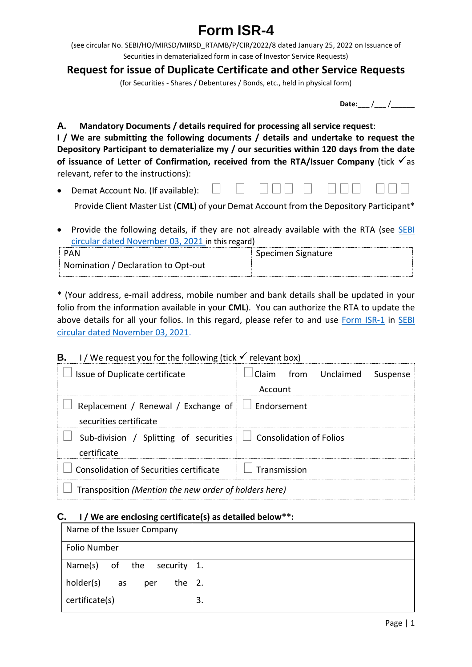# **Form ISR-4**

(see circular No. SEBI/HO/MIRSD/MIRSD\_RTAMB/P/CIR/2022/8 dated January 25, 2022 on Issuance of Securities in dematerialized form in case of Investor Service Requests)

## **Request for issue of Duplicate Certificate and other Service Requests**

(for Securities - Shares / Debentures / Bonds, etc., held in physical form)

| Date: |  |  |
|-------|--|--|
|       |  |  |

**A. Mandatory Documents / details required for processing all service request**: **I / We are submitting the following documents / details and undertake to request the Depository Participant to dematerialize my / our securities within 120 days from the date of issuance of Letter of Confirmation, received from the RTA/Issuer Company** (tick  $\checkmark$  as relevant, refer to the instructions):

- Demat Account No. (If available):  $\Box$ Provide Client Master List (**CML**) of your Demat Account from the Depository Participant\*
- Provide the following details, if they are not already available with the RTA (see SEBI [circular dated November 03, 2021](https://www.sebi.gov.in/legal/circulars/nov-2021/common-and-simplified-norms-for-processing-investor-s-service-request-by-rtas-and-norms-for-furnishing-pan-kyc-details-and-nomination_53787.html) in this regard)

| ⊃ΔN                                 | Specimen Signature |
|-------------------------------------|--------------------|
| Nomination / Declaration to Opt-out |                    |

\* (Your address, e-mail address, mobile number and bank details shall be updated in your folio from the information available in your **CML**). You can authorize the RTA to update the above details for all your folios. In this regard, please refer to and use [Form ISR-1](https://www.sebi.gov.in/sebi_data/commondocs/dec-2021/pdf%20Form%20ISR-1%20(1)_p.pdf) in SEBI [circular dated November 03, 2021.](https://www.sebi.gov.in/legal/circulars/nov-2021/common-and-simplified-norms-for-processing-investor-s-service-request-by-rtas-and-norms-for-furnishing-pan-kyc-details-and-nomination_53787.html)

### **B.** I / We request you for the following (tick  $\checkmark$  relevant box)

| Issue of Duplicate certificate                                                       | Claim from Unclaimed Suspense |  |
|--------------------------------------------------------------------------------------|-------------------------------|--|
|                                                                                      | Account                       |  |
| Replacement / Renewal / Exchange of $\Box$ Endorsement                               |                               |  |
| securities certificate                                                               |                               |  |
| Sub-division / Splitting of securities $\Box$ Consolidation of Folios<br>certificate |                               |  |
| Consolidation of Securities certificate                                              | <b>Transmission</b>           |  |
| Transposition (Mention the new order of holders here)                                |                               |  |

#### **C. I / We are enclosing certificate(s) as detailed below\*\*:**

| Name of the Issuer Company         |    |
|------------------------------------|----|
| Folio Number                       |    |
| Name(s)<br>of the<br>security   1. |    |
| holder(s)<br>the<br>as<br>per      | 2. |
| certificate(s)                     | 3. |